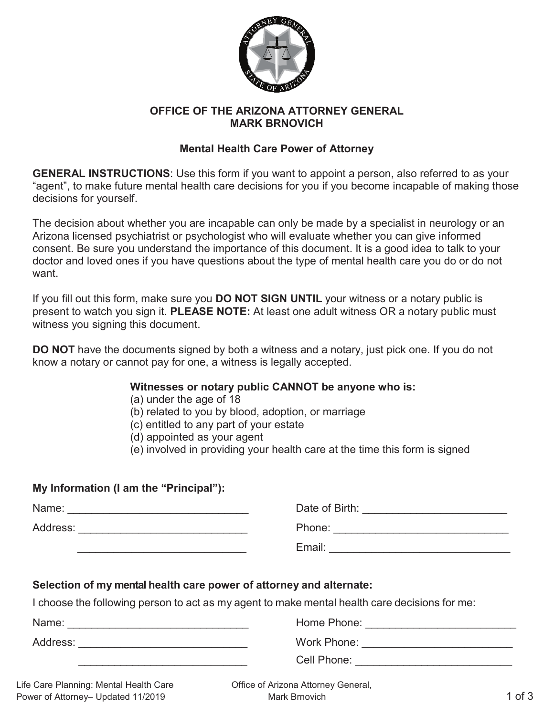

# **OFFICE OF THE ARIZONA ATTORNEY GENERAL MARK BRNOVICH**

## **Mental Health Care Power of Attorney**

**GENERAL INSTRUCTIONS**: Use this form if you want to appoint a person, also referred to as your "agent", to make future mental health care decisions for you if you become incapable of making those decisions for yourself.

The decision about whether you are incapable can only be made by a specialist in neurology or an Arizona licensed psychiatrist or psychologist who will evaluate whether you can give informed consent. Be sure you understand the importance of this document. It is a good idea to talk to your doctor and loved ones if you have questions about the type of mental health care you do or do not want.

If you fill out this form, make sure you **DO NOT SIGN UNTIL** your witness or a notary public is present to watch you sign it. **PLEASE NOTE:** At least one adult witness OR a notary public must witness you signing this document.

**DO NOT** have the documents signed by both a witness and a notary, just pick one. If you do not know a notary or cannot pay for one, a witness is legally accepted.

#### **Witnesses or notary public CANNOT be anyone who is:**

- (a) under the age of 18
- (b) related to you by blood, adoption, or marriage
- (c) entitled to any part of your estate
- (d) appointed as your agent
- (e) involved in providing your health care at the time this form is signed

# **My Information (I am the "Principal"):**

| Name: | Date of Birth: |
|-------|----------------|
|       |                |

Address: \_\_\_\_\_\_\_\_\_\_\_\_\_\_\_\_\_\_\_\_\_\_\_\_\_\_\_\_ Phone: \_\_\_\_\_\_\_\_\_\_\_\_\_\_\_\_\_\_\_\_\_\_\_\_\_\_\_\_\_

| Date of Birth: |  |  |
|----------------|--|--|
| Phone:         |  |  |

\_\_\_\_\_\_\_\_\_\_\_\_\_\_\_\_\_\_\_\_\_\_\_\_\_\_\_\_ Email: \_\_\_\_\_\_\_\_\_\_\_\_\_\_\_\_\_\_\_\_\_\_\_\_\_\_\_\_\_\_

# **Selection of my mental health care power of attorney and alternate:**

I choose the following person to act as my agent to make mental health care decisions for me:

Name: \_\_\_\_\_\_\_\_\_\_\_\_\_\_\_\_\_\_\_\_\_\_\_\_\_\_\_\_\_\_ Home Phone: \_\_\_\_\_\_\_\_\_\_\_\_\_\_\_\_\_\_\_\_\_\_\_\_\_

Address: \_\_\_\_\_\_\_\_\_\_\_\_\_\_\_\_\_\_\_\_\_\_\_\_\_\_\_\_ Work Phone: \_\_\_\_\_\_\_\_\_\_\_\_\_\_\_\_\_\_\_\_\_\_\_\_\_

\_\_\_\_\_\_\_\_\_\_\_\_\_\_\_\_\_\_\_\_\_\_\_\_\_\_\_\_ Cell Phone: \_\_\_\_\_\_\_\_\_\_\_\_\_\_\_\_\_\_\_\_\_\_\_\_\_\_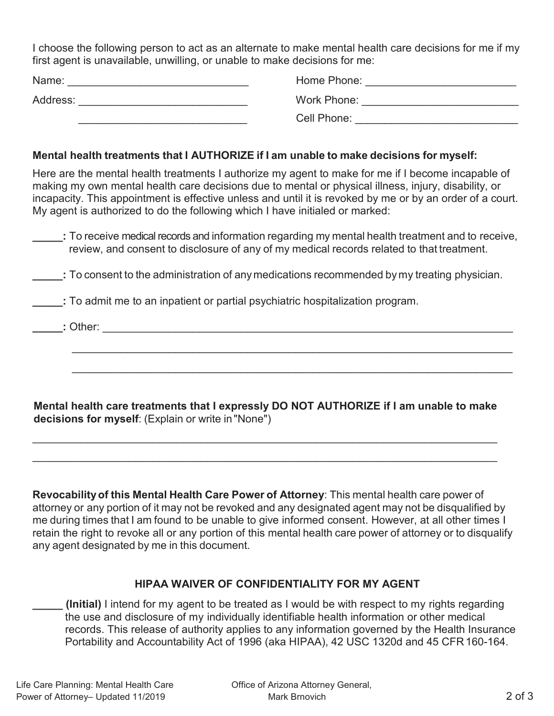I choose the following person to act as an alternate to make mental health care decisions for me if my first agent is unavailable, unwilling, or unable to make decisions for me:

| Name:    | Home Phone: |
|----------|-------------|
| Address: | Work Phone: |
|          | Cell Phone: |

### **Mental health treatments that I AUTHORIZE if I am unable to make decisions for myself:**

Here are the mental health treatments I authorize my agent to make for me if I become incapable of making my own mental health care decisions due to mental or physical illness, injury, disability, or incapacity. This appointment is effective unless and until it is revoked by me or by an order of a court. My agent is authorized to do the following which I have initialed or marked:

|                                                                                           | . To receive medical records and information regarding my mental health treatment and to receive, |
|-------------------------------------------------------------------------------------------|---------------------------------------------------------------------------------------------------|
| review, and consent to disclosure of any of my medical records related to that treatment. |                                                                                                   |

\_\_\_\_\_\_\_\_\_\_\_\_\_\_\_\_\_\_\_\_\_\_\_\_\_\_\_\_\_\_\_\_\_\_\_\_\_\_\_\_\_\_\_\_\_\_\_\_\_\_\_\_\_\_\_\_\_\_\_\_\_\_\_\_\_\_\_\_\_\_\_\_\_

\_\_\_\_\_\_\_\_\_\_\_\_\_\_\_\_\_\_\_\_\_\_\_\_\_\_\_\_\_\_\_\_\_\_\_\_\_\_\_\_\_\_\_\_\_\_\_\_\_\_\_\_\_\_\_\_\_\_\_\_\_\_\_\_\_\_\_\_\_\_\_\_\_

**\_\_\_\_\_:** To consent to the administration of any medications recommended by my treating physician.

**\_\_\_\_\_:** To admit me to an inpatient or partial psychiatric hospitalization program.

#### **\_\_\_\_\_:** Other: \_\_\_\_\_\_\_\_\_\_\_\_\_\_\_\_\_\_\_\_\_\_\_\_\_\_\_\_\_\_\_\_\_\_\_\_\_\_\_\_\_\_\_\_\_\_\_\_\_\_\_\_\_\_\_\_\_\_\_\_\_\_\_\_\_\_\_\_

**Mental health care treatments that I expressly DO NOT AUTHORIZE if I am unable to make decisions for myself**: (Explain or write in "None")

 $\mathcal{L}_\mathcal{L} = \mathcal{L}_\mathcal{L} = \mathcal{L}_\mathcal{L} = \mathcal{L}_\mathcal{L} = \mathcal{L}_\mathcal{L} = \mathcal{L}_\mathcal{L} = \mathcal{L}_\mathcal{L} = \mathcal{L}_\mathcal{L} = \mathcal{L}_\mathcal{L} = \mathcal{L}_\mathcal{L} = \mathcal{L}_\mathcal{L} = \mathcal{L}_\mathcal{L} = \mathcal{L}_\mathcal{L} = \mathcal{L}_\mathcal{L} = \mathcal{L}_\mathcal{L} = \mathcal{L}_\mathcal{L} = \mathcal{L}_\mathcal{L}$ 

\_\_\_\_\_\_\_\_\_\_\_\_\_\_\_\_\_\_\_\_\_\_\_\_\_\_\_\_\_\_\_\_\_\_\_\_\_\_\_\_\_\_\_\_\_\_\_\_\_\_\_\_\_\_\_\_\_\_\_\_\_\_\_\_\_\_\_\_\_\_\_\_\_\_\_\_\_

**Revocability of this Mental Health Care Power of Attorney**: This mental health care power of attorney or any portion of it may not be revoked and any designated agent may not be disqualified by me during times that I am found to be unable to give informed consent. However, at all other times I retain the right to revoke all or any portion of this mental health care power of attorney or to disqualify any agent designated by me in this document.

# **HIPAA WAIVER OF CONFIDENTIALITY FOR MY AGENT**

**(Initial)** I intend for my agent to be treated as I would be with respect to my rights regarding the use and disclosure of my individually identifiable health information or other medical records. This release of authority applies to any information governed by the Health Insurance Portability and Accountability Act of 1996 (aka HIPAA), 42 USC 1320d and 45 CFR 160-164.